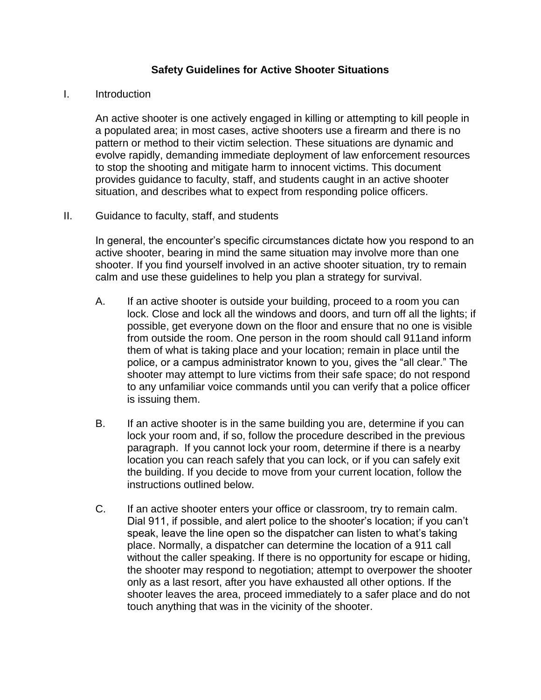## **Safety Guidelines for Active Shooter Situations**

## I. Introduction

An active shooter is one actively engaged in killing or attempting to kill people in a populated area; in most cases, active shooters use a firearm and there is no pattern or method to their victim selection. These situations are dynamic and evolve rapidly, demanding immediate deployment of law enforcement resources to stop the shooting and mitigate harm to innocent victims. This document provides guidance to faculty, staff, and students caught in an active shooter situation, and describes what to expect from responding police officers.

## II. Guidance to faculty, staff, and students

In general, the encounter's specific circumstances dictate how you respond to an active shooter, bearing in mind the same situation may involve more than one shooter. If you find yourself involved in an active shooter situation, try to remain calm and use these guidelines to help you plan a strategy for survival.

- A. If an active shooter is outside your building, proceed to a room you can lock. Close and lock all the windows and doors, and turn off all the lights; if possible, get everyone down on the floor and ensure that no one is visible from outside the room. One person in the room should call 911and inform them of what is taking place and your location; remain in place until the police, or a campus administrator known to you, gives the "all clear." The shooter may attempt to lure victims from their safe space; do not respond to any unfamiliar voice commands until you can verify that a police officer is issuing them.
- B. If an active shooter is in the same building you are, determine if you can lock your room and, if so, follow the procedure described in the previous paragraph. If you cannot lock your room, determine if there is a nearby location you can reach safely that you can lock, or if you can safely exit the building. If you decide to move from your current location, follow the instructions outlined below.
- C. If an active shooter enters your office or classroom, try to remain calm. Dial 911, if possible, and alert police to the shooter's location; if you can't speak, leave the line open so the dispatcher can listen to what's taking place. Normally, a dispatcher can determine the location of a 911 call without the caller speaking. If there is no opportunity for escape or hiding, the shooter may respond to negotiation; attempt to overpower the shooter only as a last resort, after you have exhausted all other options. If the shooter leaves the area, proceed immediately to a safer place and do not touch anything that was in the vicinity of the shooter.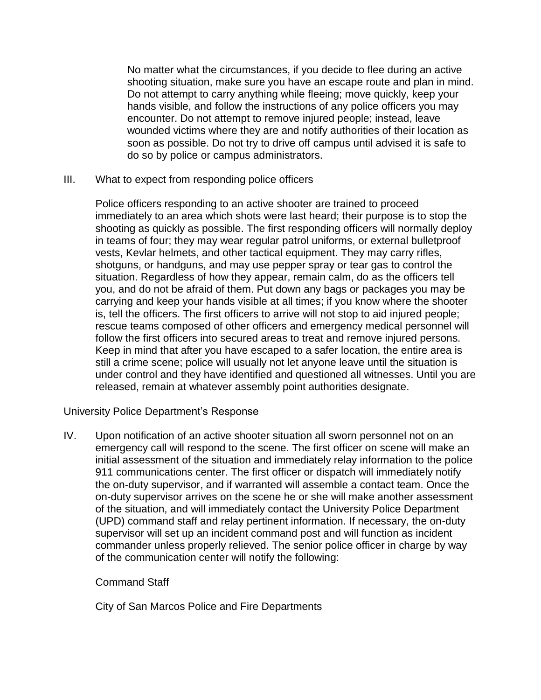No matter what the circumstances, if you decide to flee during an active shooting situation, make sure you have an escape route and plan in mind. Do not attempt to carry anything while fleeing; move quickly, keep your hands visible, and follow the instructions of any police officers you may encounter. Do not attempt to remove injured people; instead, leave wounded victims where they are and notify authorities of their location as soon as possible. Do not try to drive off campus until advised it is safe to do so by police or campus administrators.

III. What to expect from responding police officers

Police officers responding to an active shooter are trained to proceed immediately to an area which shots were last heard; their purpose is to stop the shooting as quickly as possible. The first responding officers will normally deploy in teams of four; they may wear regular patrol uniforms, or external bulletproof vests, Kevlar helmets, and other tactical equipment. They may carry rifles, shotguns, or handguns, and may use pepper spray or tear gas to control the situation. Regardless of how they appear, remain calm, do as the officers tell you, and do not be afraid of them. Put down any bags or packages you may be carrying and keep your hands visible at all times; if you know where the shooter is, tell the officers. The first officers to arrive will not stop to aid injured people; rescue teams composed of other officers and emergency medical personnel will follow the first officers into secured areas to treat and remove injured persons. Keep in mind that after you have escaped to a safer location, the entire area is still a crime scene; police will usually not let anyone leave until the situation is under control and they have identified and questioned all witnesses. Until you are released, remain at whatever assembly point authorities designate.

University Police Department's Response

IV. Upon notification of an active shooter situation all sworn personnel not on an emergency call will respond to the scene. The first officer on scene will make an initial assessment of the situation and immediately relay information to the police 911 communications center. The first officer or dispatch will immediately notify the on-duty supervisor, and if warranted will assemble a contact team. Once the on-duty supervisor arrives on the scene he or she will make another assessment of the situation, and will immediately contact the University Police Department (UPD) command staff and relay pertinent information. If necessary, the on-duty supervisor will set up an incident command post and will function as incident commander unless properly relieved. The senior police officer in charge by way of the communication center will notify the following:

## Command Staff

City of San Marcos Police and Fire Departments